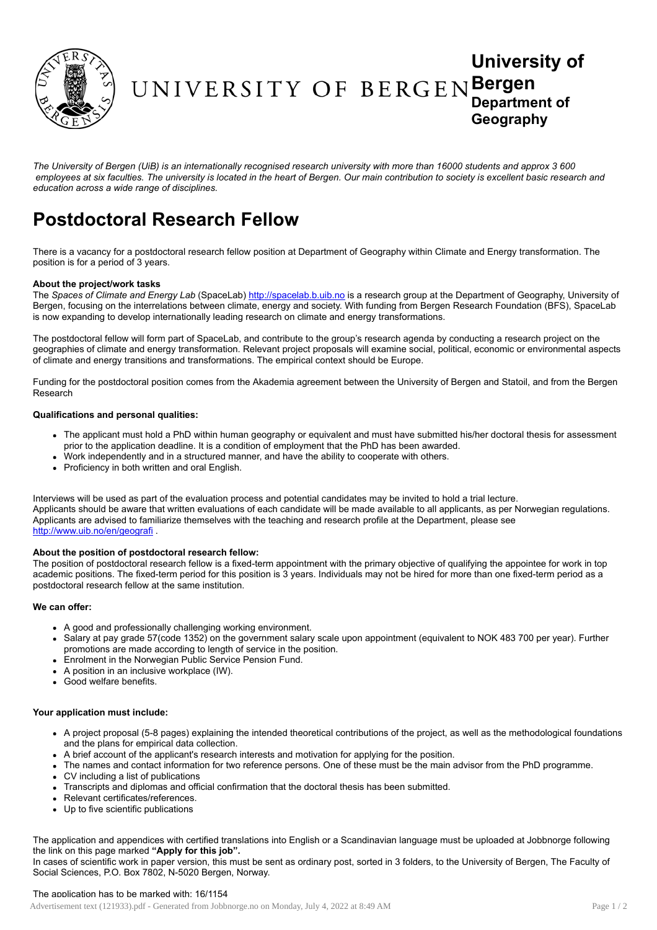

# University of UNIVERSITY OF BERGENBergen Department of **Geography**

The University of Bergen (UiB) is an internationally recognised research university with more than 16000 students and approx 3 600 employees at six faculties. The university is located in the heart of Bergen. Our main contribution to society is excellent basic research and *education across a wide range of disciplines.*

# Postdoctoral Research Fellow

There is a vacancy for a postdoctoral research fellow position at Department of Geography within Climate and Energy transformation. The position is for a period of 3 years.

### About the project/work tasks

The *Spaces of Climate and Energy Lab* (SpaceLab) [http://spacelab.b.uib.no](http://spacelab.b.uib.no/) is a research group at the Department of Geography, University of Bergen, focusing on the interrelations between climate, energy and society. With funding from Bergen Research Foundation (BFS), SpaceLab is now expanding to develop internationally leading research on climate and energy transformations.

The postdoctoral fellow will form part of SpaceLab, and contribute to the group's research agenda by conducting a research project on the geographies of climate and energy transformation. Relevant project proposals will examine social, political, economic or environmental aspects of climate and energy transitions and transformations. The empirical context should be Europe.

Funding for the postdoctoral position comes from the Akademia agreement between the University of Bergen and Statoil, and from the Bergen Research

## Qualifications and personal qualities:

- The applicant must hold a PhD within human geography or equivalent and must have submitted his/her doctoral thesis for assessment prior to the application deadline. It is a condition of employment that the PhD has been awarded.
- Work independently and in a structured manner, and have the ability to cooperate with others.
- Proficiency in both written and oral English.

Interviews will be used as part of the evaluation process and potential candidates may be invited to hold a trial lecture. Applicants should be aware that written evaluations of each candidate will be made available to all applicants, as per Norwegian regulations. Applicants are advised to familiarize themselves with the teaching and research profile at the Department, please see <http://www.uib.no/en/geografi> .

#### About the position of postdoctoral research fellow:

The position of postdoctoral research fellow is a fixed-term appointment with the primary objective of qualifying the appointee for work in top academic positions. The fixed-term period for this position is 3 years. Individuals may not be hired for more than one fixed-term period as a postdoctoral research fellow at the same institution.

#### We can offer:

- A good and professionally challenging working environment.
- Salary at pay grade 57(code 1352) on the government salary scale upon appointment (equivalent to NOK 483 700 per year). Further promotions are made according to length of service in the position.
- Enrolment in the Norwegian Public Service Pension Fund.
- A position in an inclusive workplace (IW).
- Good welfare benefits.

#### Your application must include:

- A project proposal (5-8 pages) explaining the intended theoretical contributions of the project, as well as the methodological foundations and the plans for empirical data collection.
- A brief account of the applicant's research interests and motivation for applying for the position.
- The names and contact information for two reference persons. One of these must be the main advisor from the PhD programme.
- CV including a list of publications
- Transcripts and diplomas and official confirmation that the doctoral thesis has been submitted.
- Relevant certificates/references.
- Up to five scientific publications

The application and appendices with certified translations into English or a Scandinavian language must be uploaded at Jobbnorge following the link on this page marked "Apply for this job".

In cases of scientific work in paper version, this must be sent as ordinary post, sorted in 3 folders, to the University of Bergen, The Faculty of Social Sciences, P.O. Box 7802, N-5020 Bergen, Norway.

#### The application has to be marked with: 16/1154

Advertisement text (121933).pdf - Generated from Jobbnorge.no on Monday, July 4, 2022 at 8:49 AM Page 1 / 2